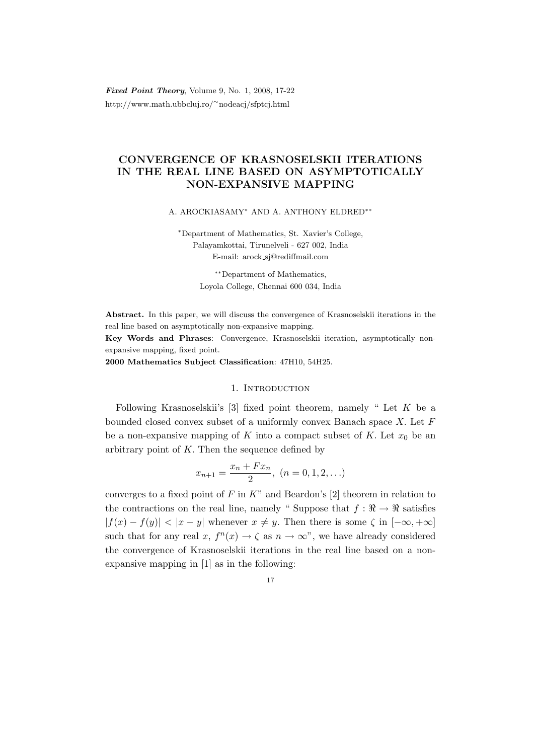Fixed Point Theory, Volume 9, No. 1, 2008, 17-22 http://www.math.ubbcluj.ro/<sup>∼</sup>nodeacj/sfptcj.html

# CONVERGENCE OF KRASNOSELSKII ITERATIONS IN THE REAL LINE BASED ON ASYMPTOTICALLY NON-EXPANSIVE MAPPING

A. AROCKIASAMY<sup>∗</sup> AND A. ANTHONY ELDRED∗∗

<sup>∗</sup>Department of Mathematics, St. Xavier's College, Palayamkottai, Tirunelveli - 627 002, India E-mail: arock sj@rediffmail.com

> ∗∗Department of Mathematics, Loyola College, Chennai 600 034, India

Abstract. In this paper, we will discuss the convergence of Krasnoselskii iterations in the real line based on asymptotically non-expansive mapping.

Key Words and Phrases: Convergence, Krasnoselskii iteration, asymptotically nonexpansive mapping, fixed point.

2000 Mathematics Subject Classification: 47H10, 54H25.

## 1. INTRODUCTION

Following Krasnoselskii's [3] fixed point theorem, namely "Let  $K$  be a bounded closed convex subset of a uniformly convex Banach space  $X$ . Let  $F$ be a non-expansive mapping of K into a compact subset of K. Let  $x_0$  be an arbitrary point of  $K$ . Then the sequence defined by

$$
x_{n+1} = \frac{x_n + Fx_n}{2}, \ (n = 0, 1, 2, \ldots)
$$

converges to a fixed point of  $F$  in  $K$ " and Beardon's [2] theorem in relation to the contractions on the real line, namely "Suppose that  $f : \mathbb{R} \to \mathbb{R}$  satisfies  $|f(x) - f(y)| < |x - y|$  whenever  $x \neq y$ . Then there is some  $\zeta$  in  $[-\infty, +\infty]$ such that for any real  $x, f^{n}(x) \rightarrow \zeta$  as  $n \rightarrow \infty$ ", we have already considered the convergence of Krasnoselskii iterations in the real line based on a nonexpansive mapping in [1] as in the following:

17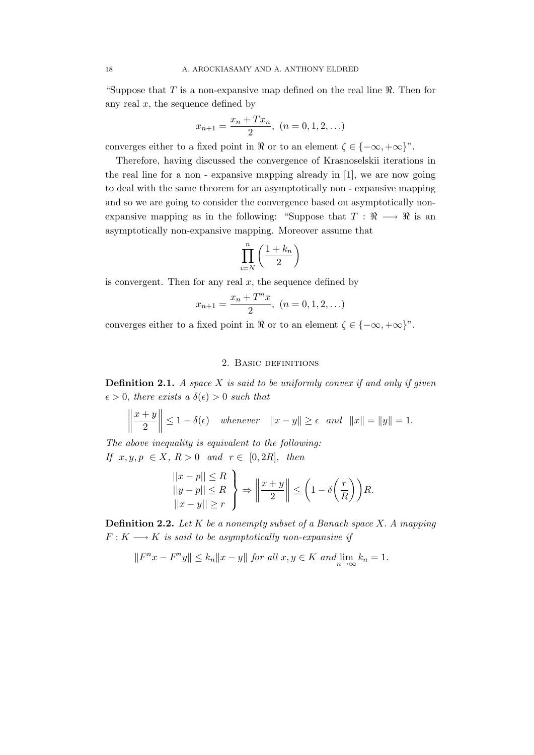"Suppose that  $T$  is a non-expansive map defined on the real line  $\Re$ . Then for any real  $x$ , the sequence defined by

$$
x_{n+1} = \frac{x_n + Tx_n}{2}, \ (n = 0, 1, 2, \ldots)
$$

converges either to a fixed point in  $\Re$  or to an element  $\zeta \in \{-\infty, +\infty\}^n$ .

Therefore, having discussed the convergence of Krasnoselskii iterations in the real line for a non - expansive mapping already in [1], we are now going to deal with the same theorem for an asymptotically non - expansive mapping and so we are going to consider the convergence based on asymptotically nonexpansive mapping as in the following: "Suppose that  $T : \mathbb{R} \longrightarrow \mathbb{R}$  is an asymptotically non-expansive mapping. Moreover assume that

$$
\prod_{i=N}^n \left(\frac{1+k_n}{2}\right)
$$

is convergent. Then for any real  $x$ , the sequence defined by

$$
x_{n+1} = \frac{x_n + T^n x}{2}, \ (n = 0, 1, 2, \ldots)
$$

converges either to a fixed point in  $\Re$  or to an element  $\zeta \in \{-\infty, +\infty\}$ ".

### 2. Basic definitions

**Definition 2.1.** A space  $X$  is said to be uniformly convex if and only if given  $\epsilon > 0$ , there exists a  $\delta(\epsilon) > 0$  such that

$$
\left\|\frac{x+y}{2}\right\| \le 1-\delta(\epsilon) \quad \text{whenever} \quad \|x-y\| \ge \epsilon \quad \text{and} \quad \|x\| = \|y\| = 1.
$$

The above inequality is equivalent to the following: If  $x, y, p \in X$ ,  $R > 0$  and  $r \in [0, 2R]$ , then

$$
\begin{array}{c} ||x-p|| \leq R \\ ||y-p|| \leq R \\ ||x-y|| \geq r \end{array} \bigg\} \Rightarrow \bigg\| \frac{x+y}{2} \bigg\| \leq \bigg(1 - \delta \bigg(\frac{r}{R}\bigg)\bigg) R.
$$

**Definition 2.2.** Let  $K$  be a nonempty subset of a Banach space  $X$ . A mapping  $F: K \longrightarrow K$  is said to be asymptotically non-expansive if

 $||F^nx - F^ny|| \le k_n ||x - y||$  for all  $x, y \in K$  and  $\lim_{n \to \infty} k_n = 1$ .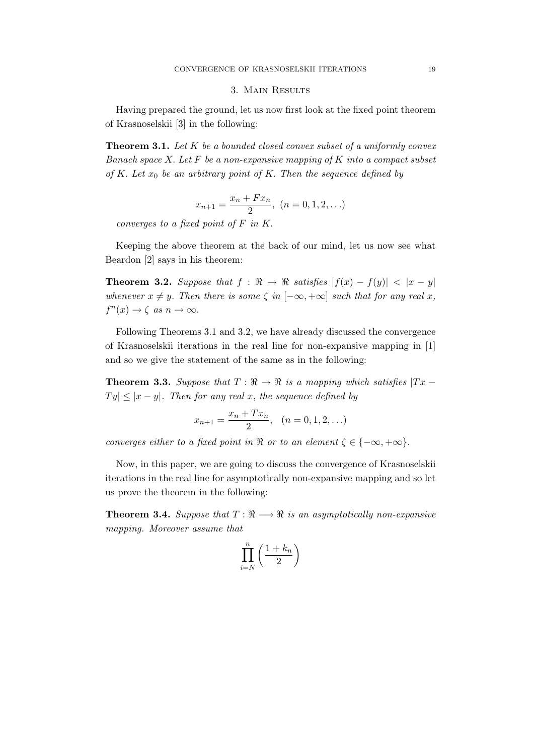#### 3. Main Results

Having prepared the ground, let us now first look at the fixed point theorem of Krasnoselskii [3] in the following:

**Theorem 3.1.** Let  $K$  be a bounded closed convex subset of a uniformly convex Banach space  $X$ . Let  $F$  be a non-expansive mapping of  $K$  into a compact subset of K. Let  $x_0$  be an arbitrary point of K. Then the sequence defined by

$$
x_{n+1} = \frac{x_n + Fx_n}{2}, \ (n = 0, 1, 2, \ldots)
$$

converges to a fixed point of F in K.

Keeping the above theorem at the back of our mind, let us now see what Beardon [2] says in his theorem:

**Theorem 3.2.** Suppose that  $f : \Re \to \Re$  satisfies  $|f(x) - f(y)| < |x - y|$ whenever  $x \neq y$ . Then there is some  $\zeta$  in  $[-\infty, +\infty]$  such that for any real x,  $f^{n}(x) \rightarrow \zeta$  as  $n \rightarrow \infty$ .

Following Theorems 3.1 and 3.2, we have already discussed the convergence of Krasnoselskii iterations in the real line for non-expansive mapping in [1] and so we give the statement of the same as in the following:

**Theorem 3.3.** Suppose that  $T : \mathbb{R} \to \mathbb{R}$  is a mapping which satisfies  $|Tx - y|$  $|Ty| \leq |x-y|$ . Then for any real x, the sequence defined by

$$
x_{n+1} = \frac{x_n + Tx_n}{2}, \quad (n = 0, 1, 2, \ldots)
$$

converges either to a fixed point in  $\Re$  or to an element  $\zeta \in \{-\infty, +\infty\}.$ 

Now, in this paper, we are going to discuss the convergence of Krasnoselskii iterations in the real line for asymptotically non-expansive mapping and so let us prove the theorem in the following:

**Theorem 3.4.** Suppose that  $T : \mathbb{R} \longrightarrow \mathbb{R}$  is an asymptotically non-expansive mapping. Moreover assume that

$$
\prod_{i=N}^n \left( \frac{1+k_n}{2} \right)
$$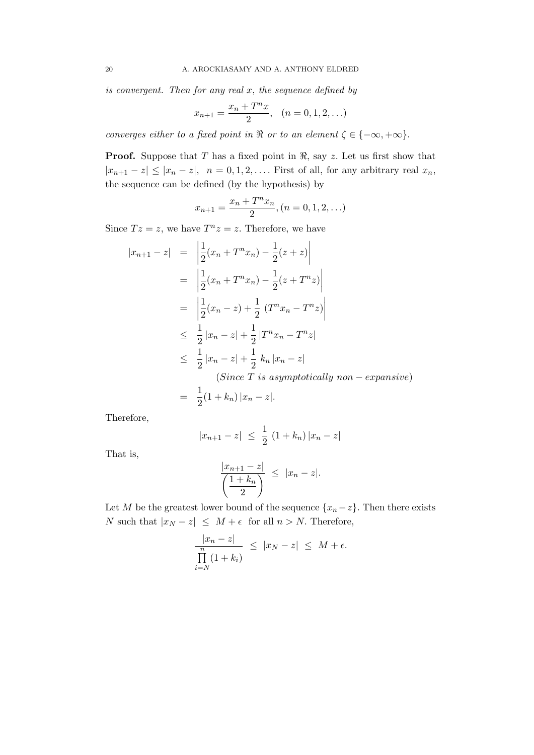is convergent. Then for any real  $x$ , the sequence defined by

$$
x_{n+1} = \frac{x_n + T^n x}{2}, \quad (n = 0, 1, 2, \ldots)
$$

converges either to a fixed point in  $\Re$  or to an element  $\zeta \in \{-\infty, +\infty\}.$ 

**Proof.** Suppose that T has a fixed point in  $\Re$ , say z. Let us first show that  $|x_{n+1} - z| \le |x_n - z|$ ,  $n = 0, 1, 2, \ldots$  First of all, for any arbitrary real  $x_n$ , the sequence can be defined (by the hypothesis) by

$$
x_{n+1} = \frac{x_n + T^n x_n}{2}, (n = 0, 1, 2, \ldots)
$$

Since  $Tz = z$ , we have  $T^n z = z$ . Therefore, we have

$$
|x_{n+1} - z| = \left| \frac{1}{2} (x_n + T^n x_n) - \frac{1}{2} (z + z) \right|
$$
  
\n
$$
= \left| \frac{1}{2} (x_n + T^n x_n) - \frac{1}{2} (z + T^n z) \right|
$$
  
\n
$$
= \left| \frac{1}{2} (x_n - z) + \frac{1}{2} (T^n x_n - T^n z) \right|
$$
  
\n
$$
\leq \frac{1}{2} |x_n - z| + \frac{1}{2} |T^n x_n - T^n z|
$$
  
\n
$$
\leq \frac{1}{2} |x_n - z| + \frac{1}{2} k_n |x_n - z|
$$
  
\n(*Since T is asymptotically non-expansive*)  
\n
$$
= \frac{1}{2} (1 + k_n) |x_n - z|.
$$

Therefore,

$$
|x_{n+1} - z| \leq \frac{1}{2} (1 + k_n) |x_n - z|
$$

That is,

$$
\frac{|x_{n+1}-z|}{\left(\frac{1+k_n}{2}\right)} \leq |x_n-z|.
$$

Let M be the greatest lower bound of the sequence  $\{x_n-z\}$ . Then there exists N such that  $|x_N - z|$  ≤  $M + \epsilon$  for all  $n > N$ . Therefore,

$$
\frac{|x_n - z|}{\prod_{i=N}^n (1 + k_i)} \le |x_N - z| \le M + \epsilon.
$$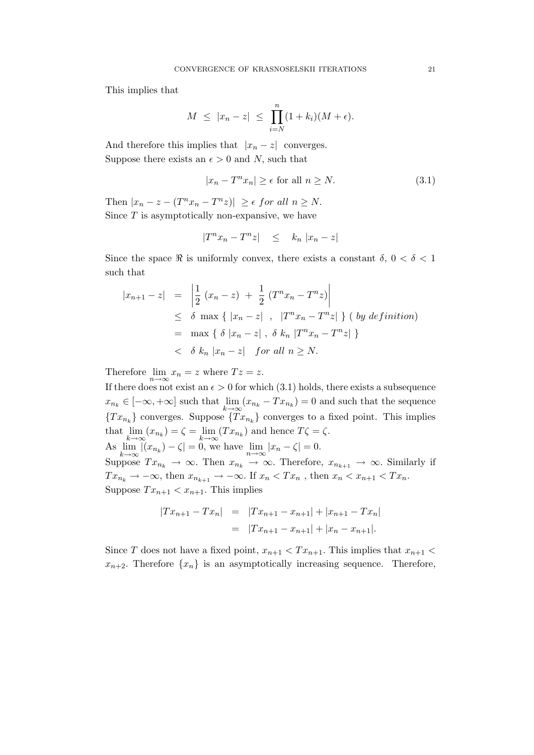This implies that

$$
M \leq |x_n - z| \leq \prod_{i=N}^n (1 + k_i)(M + \epsilon).
$$

And therefore this implies that  $|x_n - z|$  converges. Suppose there exists an  $\epsilon > 0$  and N, such that

$$
|x_n - T^n x_n| \ge \epsilon \text{ for all } n \ge N. \tag{3.1}
$$

Then  $|x_n - z - (T^n x_n - T^n z)| \geq \epsilon$  for all  $n \geq N$ . Since  $T$  is asymptotically non-expansive, we have

$$
|T^n x_n - T^n z| \leq k_n |x_n - z|
$$

Since the space  $\Re$  is uniformly convex, there exists a constant  $\delta$ ,  $0 < \delta < 1$ such that

$$
|x_{n+1} - z| = \left| \frac{1}{2} (x_n - z) + \frac{1}{2} (T^n x_n - T^n z) \right|
$$
  
\n
$$
\leq \delta \max \{ |x_n - z| , |T^n x_n - T^n z| \} (by definition)
$$
  
\n
$$
= \max \{ \delta |x_n - z| , \delta k_n |T^n x_n - T^n z| \}
$$
  
\n
$$
< \delta k_n |x_n - z| \text{ for all } n \geq N.
$$

Therefore  $\lim_{n \to \infty} x_n = z$  where  $Tz = z$ .

If there does not exist an  $\epsilon > 0$  for which (3.1) holds, there exists a subsequence  $x_{n_k} \in [-\infty, +\infty]$  such that  $\lim_{k \to \infty} (x_{n_k} - Tx_{n_k}) = 0$  and such that the sequence  ${T x_{n_k}}$  converges. Suppose  ${T x_{n_k}}$  converges to a fixed point. This implies that  $\lim_{k \to \infty} (x_{n_k}) = \zeta = \lim_{k \to \infty} (Tx_{n_k})$  and hence  $T\zeta = \zeta$ . As  $\lim_{k \to \infty} |(x_{n_k}) - \zeta| = 0$ , we have  $\lim_{n \to \infty} |x_n - \zeta| = 0$ . Suppose  $Tx_{n_k} \to \infty$ . Then  $x_{n_k} \to \infty$ . Therefore,  $x_{n_{k+1}} \to \infty$ . Similarly if  $Tx_{n_k} \to -\infty$ , then  $x_{n_{k+1}} \to -\infty$ . If  $x_n < Tx_n$ , then  $x_n < x_{n+1} < Tx_n$ . Suppose  $Tx_{n+1} < x_{n+1}$ . This implies

$$
|Tx_{n+1} - Tx_n| = |Tx_{n+1} - x_{n+1}| + |x_{n+1} - Tx_n|
$$
  
=  $|Tx_{n+1} - x_{n+1}| + |x_n - x_{n+1}|.$ 

Since T does not have a fixed point,  $x_{n+1} < Tx_{n+1}$ . This implies that  $x_{n+1} <$  $x_{n+2}$ . Therefore  $\{x_n\}$  is an asymptotically increasing sequence. Therefore,